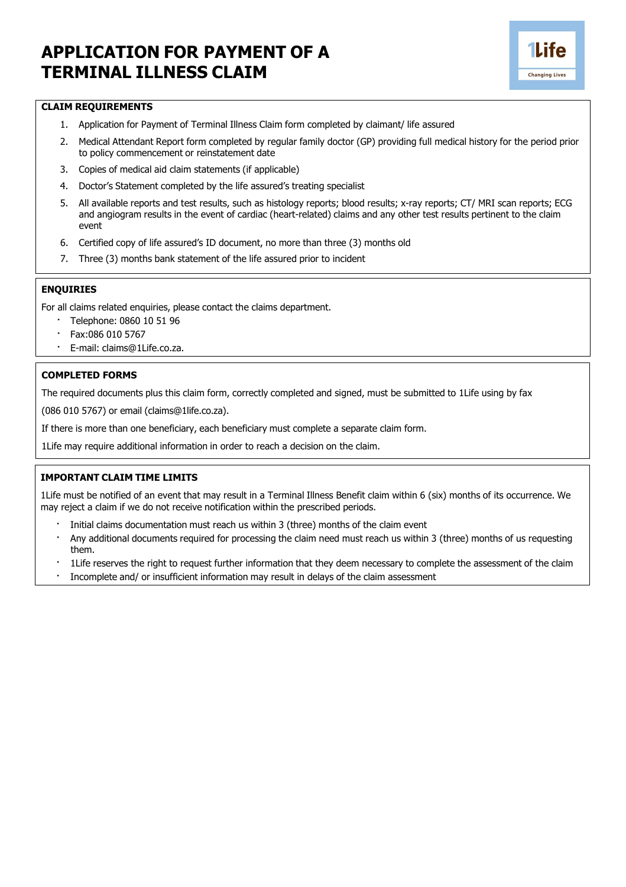# **APPLICATION FOR PAYMENT OF A TERMINAL ILLNESS CLAIM**



### **CLAIM REQUIREMENTS**

- 1. Application for Payment of Terminal Illness Claim form completed by claimant/ life assured
- 2. Medical Attendant Report form completed by regular family doctor (GP) providing full medical history for the period prior to policy commencement or reinstatement date
- 3. Copies of medical aid claim statements (if applicable)
- 4. Doctor's Statement completed by the life assured's treating specialist
- 5. All available reports and test results, such as histology reports; blood results; x-ray reports; CT/ MRI scan reports; ECG and angiogram results in the event of cardiac (heart-related) claims and any other test results pertinent to the claim event
- 6. Certified copy of life assured's ID document, no more than three (3) months old
- 7. Three (3) months bank statement of the life assured prior to incident

#### **ENQUIRIES**

For all claims related enquiries, please contact the claims department.

- · Telephone: 0860 10 51 96
- · Fax:086 010 5767
- · E-mail: [claims@1Life.co.za.](mailto:claims@1Life.co.za)

#### **COMPLETED FORMS**

The required documents plus this claim form, correctly completed and signed, must be submitted to 1Life using by fax

(086 010 5767) or email (claims@1life.co.za).

If there is more than one beneficiary, each beneficiary must complete a separate claim form.

1Life may require additional information in order to reach a decision on the claim.

## **IMPORTANT CLAIM TIME LIMITS**

1Life must be notified of an event that may result in a Terminal Illness Benefit claim within 6 (six) months of its occurrence. We may reject a claim if we do not receive notification within the prescribed periods.

- Initial claims documentation must reach us within 3 (three) months of the claim event
- · Any additional documents required for processing the claim need must reach us within 3 (three) months of us requesting them.
- · 1Life reserves the right to request further information that they deem necessary to complete the assessment of the claim
- · Incomplete and/ or insufficient information may result in delays of the claim assessment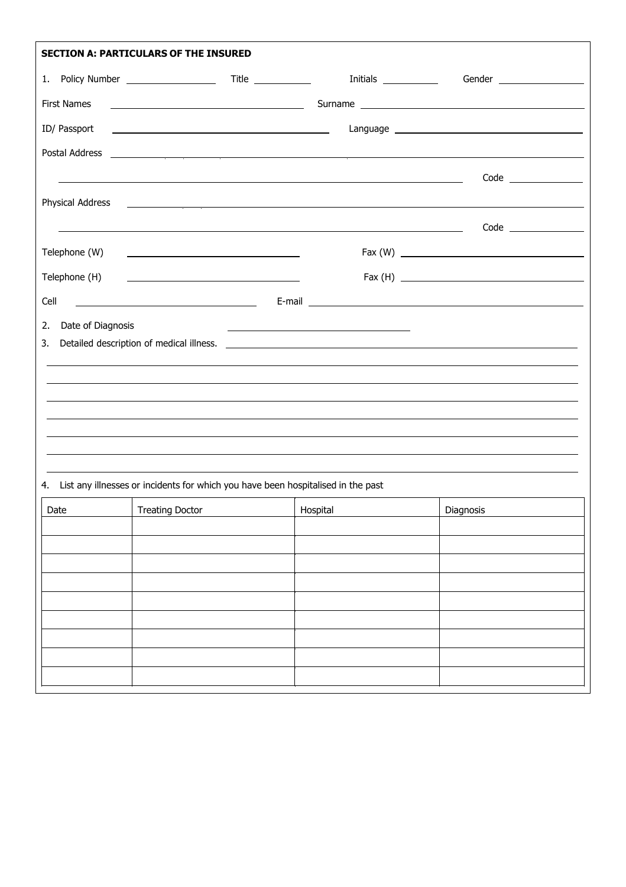| <b>SECTION A: PARTICULARS OF THE INSURED</b>                                        |          |                                                                                                                                                                                                                                                                                                                                                                                                                                                                                                                              |  |  |  |  |  |
|-------------------------------------------------------------------------------------|----------|------------------------------------------------------------------------------------------------------------------------------------------------------------------------------------------------------------------------------------------------------------------------------------------------------------------------------------------------------------------------------------------------------------------------------------------------------------------------------------------------------------------------------|--|--|--|--|--|
|                                                                                     |          | Gender ______________________                                                                                                                                                                                                                                                                                                                                                                                                                                                                                                |  |  |  |  |  |
| <b>First Names</b>                                                                  |          |                                                                                                                                                                                                                                                                                                                                                                                                                                                                                                                              |  |  |  |  |  |
|                                                                                     |          |                                                                                                                                                                                                                                                                                                                                                                                                                                                                                                                              |  |  |  |  |  |
|                                                                                     |          |                                                                                                                                                                                                                                                                                                                                                                                                                                                                                                                              |  |  |  |  |  |
|                                                                                     |          |                                                                                                                                                                                                                                                                                                                                                                                                                                                                                                                              |  |  |  |  |  |
|                                                                                     |          |                                                                                                                                                                                                                                                                                                                                                                                                                                                                                                                              |  |  |  |  |  |
|                                                                                     |          |                                                                                                                                                                                                                                                                                                                                                                                                                                                                                                                              |  |  |  |  |  |
|                                                                                     |          |                                                                                                                                                                                                                                                                                                                                                                                                                                                                                                                              |  |  |  |  |  |
|                                                                                     |          |                                                                                                                                                                                                                                                                                                                                                                                                                                                                                                                              |  |  |  |  |  |
|                                                                                     |          |                                                                                                                                                                                                                                                                                                                                                                                                                                                                                                                              |  |  |  |  |  |
| Date of Diagnosis                                                                   |          |                                                                                                                                                                                                                                                                                                                                                                                                                                                                                                                              |  |  |  |  |  |
|                                                                                     |          |                                                                                                                                                                                                                                                                                                                                                                                                                                                                                                                              |  |  |  |  |  |
|                                                                                     |          |                                                                                                                                                                                                                                                                                                                                                                                                                                                                                                                              |  |  |  |  |  |
|                                                                                     |          |                                                                                                                                                                                                                                                                                                                                                                                                                                                                                                                              |  |  |  |  |  |
|                                                                                     |          |                                                                                                                                                                                                                                                                                                                                                                                                                                                                                                                              |  |  |  |  |  |
|                                                                                     |          |                                                                                                                                                                                                                                                                                                                                                                                                                                                                                                                              |  |  |  |  |  |
|                                                                                     |          |                                                                                                                                                                                                                                                                                                                                                                                                                                                                                                                              |  |  |  |  |  |
| 4. List any illnesses or incidents for which you have been hospitalised in the past |          |                                                                                                                                                                                                                                                                                                                                                                                                                                                                                                                              |  |  |  |  |  |
| <b>Treating Doctor</b>                                                              | Hospital | Diagnosis                                                                                                                                                                                                                                                                                                                                                                                                                                                                                                                    |  |  |  |  |  |
|                                                                                     |          |                                                                                                                                                                                                                                                                                                                                                                                                                                                                                                                              |  |  |  |  |  |
|                                                                                     |          |                                                                                                                                                                                                                                                                                                                                                                                                                                                                                                                              |  |  |  |  |  |
|                                                                                     |          |                                                                                                                                                                                                                                                                                                                                                                                                                                                                                                                              |  |  |  |  |  |
|                                                                                     |          |                                                                                                                                                                                                                                                                                                                                                                                                                                                                                                                              |  |  |  |  |  |
|                                                                                     |          |                                                                                                                                                                                                                                                                                                                                                                                                                                                                                                                              |  |  |  |  |  |
|                                                                                     |          |                                                                                                                                                                                                                                                                                                                                                                                                                                                                                                                              |  |  |  |  |  |
|                                                                                     |          |                                                                                                                                                                                                                                                                                                                                                                                                                                                                                                                              |  |  |  |  |  |
|                                                                                     |          | Initials ______________<br><u> 1980 - Johann Barnett, fransk politik (d. 1980)</u><br><u> 1989 - Johann Stoff, deutscher Stoffen und der Stoffen und der Stoffen und der Stoffen und der Stoffen und der</u><br><u> Andreas Andreas Andreas Andreas Andreas Andreas Andreas Andreas Andreas Andreas Andreas Andreas Andreas Andr</u><br><u> 1989 - Johann Stoff, amerikansk politiker (* 1908)</u><br><u> 1989 - Johann Stoff, fransk politiker (d. 1989)</u><br><u> 1989 - Andrea Stationer, fransk politiker (d. 1989)</u> |  |  |  |  |  |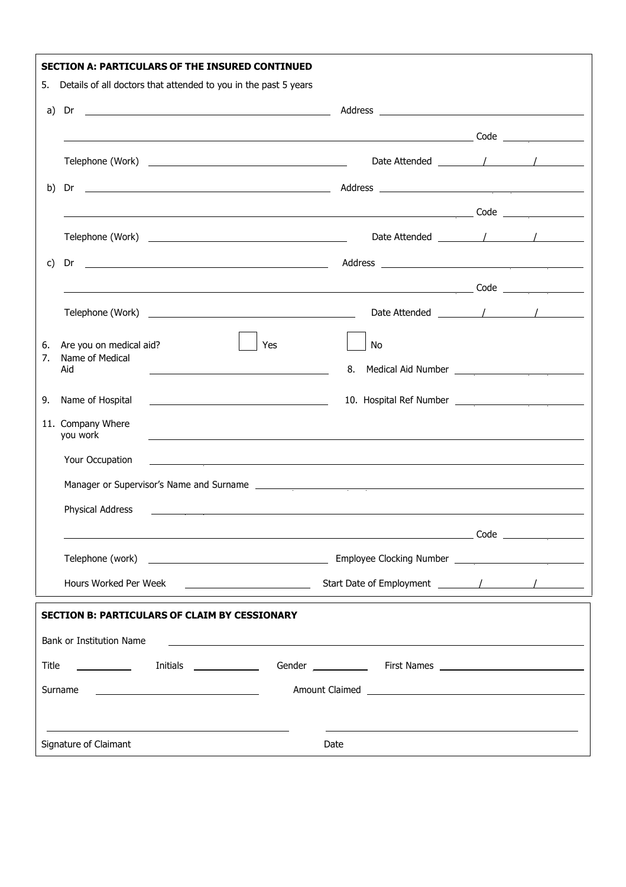|       | <b>SECTION A: PARTICULARS OF THE INSURED CONTINUED</b>                                                                            |                                                                                       |  |
|-------|-----------------------------------------------------------------------------------------------------------------------------------|---------------------------------------------------------------------------------------|--|
| 5.    | Details of all doctors that attended to you in the past 5 years                                                                   |                                                                                       |  |
| a)    |                                                                                                                                   |                                                                                       |  |
|       |                                                                                                                                   |                                                                                       |  |
|       |                                                                                                                                   |                                                                                       |  |
| b)    | Dr                                                                                                                                |                                                                                       |  |
|       |                                                                                                                                   |                                                                                       |  |
|       |                                                                                                                                   |                                                                                       |  |
| C)    | Dr                                                                                                                                |                                                                                       |  |
|       |                                                                                                                                   |                                                                                       |  |
|       |                                                                                                                                   |                                                                                       |  |
| 6.    | Are you on medical aid?<br>Yes                                                                                                    | No                                                                                    |  |
| 7.    | Name of Medical<br>Aid<br><u> 1989 - Johann Barbara, martxa amerikan personal (h. 1989).</u>                                      | 8.                                                                                    |  |
| 9.    | Name of Hospital                                                                                                                  |                                                                                       |  |
|       | 11. Company Where<br>you work                                                                                                     |                                                                                       |  |
|       | Your Occupation                                                                                                                   |                                                                                       |  |
|       |                                                                                                                                   |                                                                                       |  |
|       | Physical Address                                                                                                                  |                                                                                       |  |
|       |                                                                                                                                   | $\overbrace{\hspace{2.5cm}}^{\text{Code}}$ $\overbrace{\hspace{2.5cm}}^{\text{Code}}$ |  |
|       |                                                                                                                                   |                                                                                       |  |
|       | Hours Worked Per Week<br><u> 1989 - John Stein, Amerikaansk politiker (</u>                                                       |                                                                                       |  |
|       | <b>SECTION B: PARTICULARS OF CLAIM BY CESSIONARY</b>                                                                              |                                                                                       |  |
|       | Bank or Institution Name                                                                                                          |                                                                                       |  |
| Title |                                                                                                                                   |                                                                                       |  |
|       | Surname<br><u> Alexandro Alexandro Alexandro Alexandro Alexandro Alexandro Alexandro Alexandro Alexandro Alexandro Alexandro </u> |                                                                                       |  |
|       | Signature of Claimant                                                                                                             | Date                                                                                  |  |